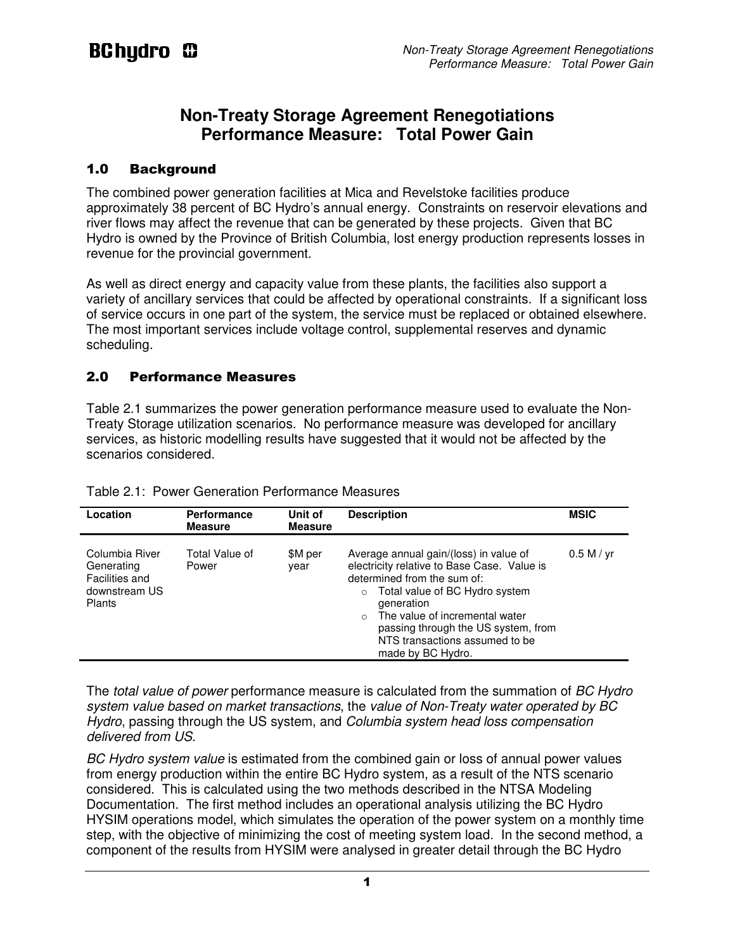## **Non-Treaty Storage Agreement Renegotiations Performance Measure: Total Power Gain**

### 1.0 Background

The combined power generation facilities at Mica and Revelstoke facilities produce approximately 38 percent of BC Hydro's annual energy. Constraints on reservoir elevations and river flows may affect the revenue that can be generated by these projects. Given that BC Hydro is owned by the Province of British Columbia, lost energy production represents losses in revenue for the provincial government.

As well as direct energy and capacity value from these plants, the facilities also support a variety of ancillary services that could be affected by operational constraints. If a significant loss of service occurs in one part of the system, the service must be replaced or obtained elsewhere. The most important services include voltage control, supplemental reserves and dynamic scheduling.

### 2.0 Performance Measures

Table 2.1 summarizes the power generation performance measure used to evaluate the Non-Treaty Storage utilization scenarios. No performance measure was developed for ancillary services, as historic modelling results have suggested that it would not be affected by the scenarios considered.

| Location                                                                         | <b>Performance</b><br><b>Measure</b> | Unit of<br><b>Measure</b> | <b>Description</b>                                                                                                                                                                                                                                                                                                          | <b>MSIC</b> |
|----------------------------------------------------------------------------------|--------------------------------------|---------------------------|-----------------------------------------------------------------------------------------------------------------------------------------------------------------------------------------------------------------------------------------------------------------------------------------------------------------------------|-------------|
| Columbia River<br>Generating<br>Facilities and<br>downstream US<br><b>Plants</b> | Total Value of<br>Power              | \$M per<br>vear           | Average annual gain/(loss) in value of<br>electricity relative to Base Case. Value is<br>determined from the sum of:<br>Total value of BC Hydro system<br>$\circ$<br>generation<br>The value of incremental water<br>$\Omega$<br>passing through the US system, from<br>NTS transactions assumed to be<br>made by BC Hydro. | 0.5 M / yr  |

|  | Table 2.1: Power Generation Performance Measures |  |
|--|--------------------------------------------------|--|
|  |                                                  |  |

The *total value of power* performance measure is calculated from the summation of *BC Hydro* system value based on market transactions, the value of Non-Treaty water operated by BC Hydro, passing through the US system, and Columbia system head loss compensation delivered from US.

BC Hydro system value is estimated from the combined gain or loss of annual power values from energy production within the entire BC Hydro system, as a result of the NTS scenario considered. This is calculated using the two methods described in the NTSA Modeling Documentation. The first method includes an operational analysis utilizing the BC Hydro HYSIM operations model, which simulates the operation of the power system on a monthly time step, with the objective of minimizing the cost of meeting system load. In the second method, a component of the results from HYSIM were analysed in greater detail through the BC Hydro